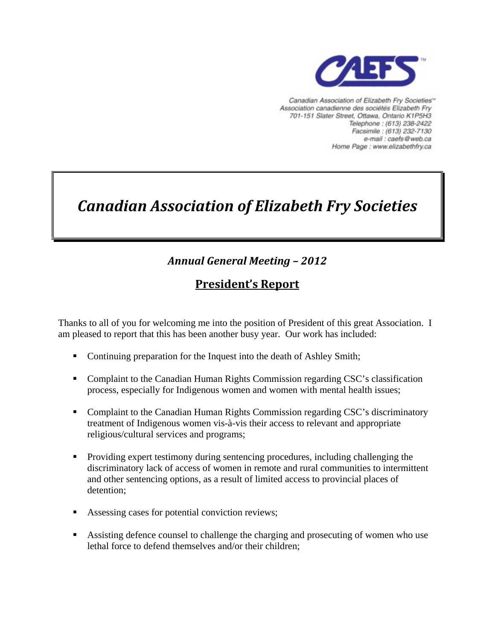

Canadian Association of Elizabeth Fry Societies<sup>16</sup> Association canadienne des sociétés Elizabeth Fry 701-151 Slater Street, Ottawa, Ontario K1P5H3 Telephone: (613) 238-2422 Facsimile: (613) 232-7130 e-mail : caefs@web.ca Home Page : www.elizabethfry.ca

# *Canadian Association of Elizabeth Fry Societies*

# *Annual General Meeting – 2012*

## **President's Report**

Thanks to all of you for welcoming me into the position of President of this great Association. I am pleased to report that this has been another busy year. Our work has included:

- Continuing preparation for the Inquest into the death of Ashley Smith;
- Complaint to the Canadian Human Rights Commission regarding CSC's classification process, especially for Indigenous women and women with mental health issues;
- Complaint to the Canadian Human Rights Commission regarding CSC's discriminatory treatment of Indigenous women vis-à-vis their access to relevant and appropriate religious/cultural services and programs;
- **Providing expert testimony during sentencing procedures, including challenging the** discriminatory lack of access of women in remote and rural communities to intermittent and other sentencing options, as a result of limited access to provincial places of detention;
- Assessing cases for potential conviction reviews;
- Assisting defence counsel to challenge the charging and prosecuting of women who use lethal force to defend themselves and/or their children;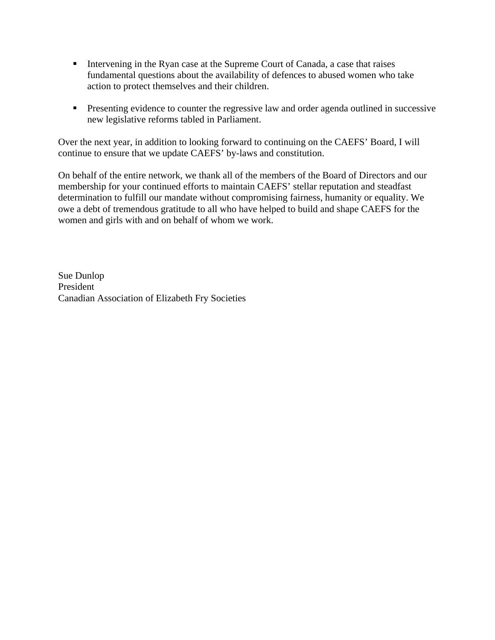- Intervening in the Ryan case at the Supreme Court of Canada, a case that raises fundamental questions about the availability of defences to abused women who take action to protect themselves and their children.
- **Presenting evidence to counter the regressive law and order agenda outlined in successive** new legislative reforms tabled in Parliament.

Over the next year, in addition to looking forward to continuing on the CAEFS' Board, I will continue to ensure that we update CAEFS' by-laws and constitution.

On behalf of the entire network, we thank all of the members of the Board of Directors and our membership for your continued efforts to maintain CAEFS' stellar reputation and steadfast determination to fulfill our mandate without compromising fairness, humanity or equality. We owe a debt of tremendous gratitude to all who have helped to build and shape CAEFS for the women and girls with and on behalf of whom we work.

Sue Dunlop President Canadian Association of Elizabeth Fry Societies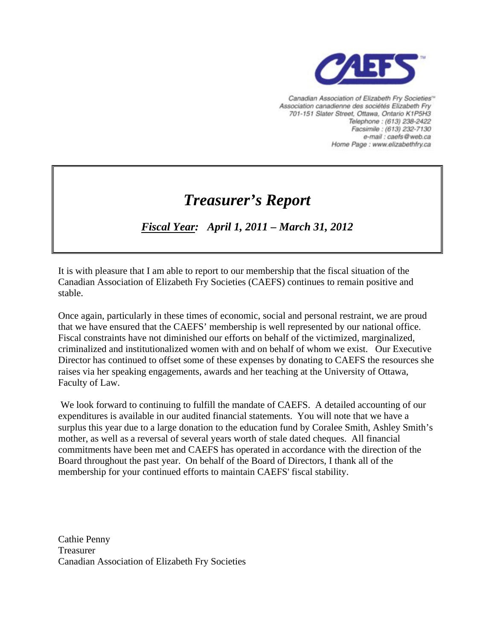

Canadian Association of Elizabeth Fry Societies<sup>16</sup> Association canadienne des sociétés Elizabeth Fry 701-151 Slater Street, Ottawa, Ontario K1P5H3 Telephone: (613) 238-2422 Facsimile: (613) 232-7130 e-mail : caefs@web.ca Home Page : www.elizabethfry.ca

# *Treasurer's Report*

## *Fiscal Year: April 1, 2011 – March 31, 2012*

It is with pleasure that I am able to report to our membership that the fiscal situation of the Canadian Association of Elizabeth Fry Societies (CAEFS) continues to remain positive and stable.

Once again, particularly in these times of economic, social and personal restraint, we are proud that we have ensured that the CAEFS' membership is well represented by our national office. Fiscal constraints have not diminished our efforts on behalf of the victimized, marginalized, criminalized and institutionalized women with and on behalf of whom we exist. Our Executive Director has continued to offset some of these expenses by donating to CAEFS the resources she raises via her speaking engagements, awards and her teaching at the University of Ottawa, Faculty of Law.

 We look forward to continuing to fulfill the mandate of CAEFS. A detailed accounting of our expenditures is available in our audited financial statements. You will note that we have a surplus this year due to a large donation to the education fund by Coralee Smith, Ashley Smith's mother, as well as a reversal of several years worth of stale dated cheques. All financial commitments have been met and CAEFS has operated in accordance with the direction of the Board throughout the past year. On behalf of the Board of Directors, I thank all of the membership for your continued efforts to maintain CAEFS' fiscal stability.

Cathie Penny Treasurer Canadian Association of Elizabeth Fry Societies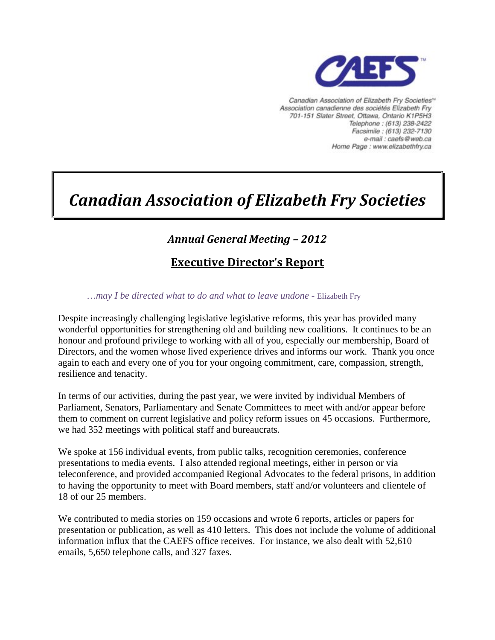

Canadian Association of Elizabeth Fry Societies<sup>16</sup> Association canadienne des sociétés Elizabeth Fry 701-151 Slater Street, Ottawa, Ontario K1P5H3 Telephone: (613) 238-2422 Facsimile: (613) 232-7130 e-mail : caefs@web.ca Home Page : www.elizabethfry.ca

# *Canadian Association of Elizabeth Fry Societies*

## *Annual General Meeting – 2012*

## **Executive Director's Report**

*…may I be directed what to do and what to leave undone -* Elizabeth Fry

Despite increasingly challenging legislative legislative reforms, this year has provided many wonderful opportunities for strengthening old and building new coalitions. It continues to be an honour and profound privilege to working with all of you, especially our membership, Board of Directors, and the women whose lived experience drives and informs our work. Thank you once again to each and every one of you for your ongoing commitment, care, compassion, strength, resilience and tenacity.

In terms of our activities, during the past year, we were invited by individual Members of Parliament, Senators, Parliamentary and Senate Committees to meet with and/or appear before them to comment on current legislative and policy reform issues on 45 occasions. Furthermore, we had 352 meetings with political staff and bureaucrats.

We spoke at 156 individual events, from public talks, recognition ceremonies, conference presentations to media events. I also attended regional meetings, either in person or via teleconference, and provided accompanied Regional Advocates to the federal prisons, in addition to having the opportunity to meet with Board members, staff and/or volunteers and clientele of 18 of our 25 members.

We contributed to media stories on 159 occasions and wrote 6 reports, articles or papers for presentation or publication, as well as 410 letters. This does not include the volume of additional information influx that the CAEFS office receives. For instance, we also dealt with 52,610 emails, 5,650 telephone calls, and 327 faxes.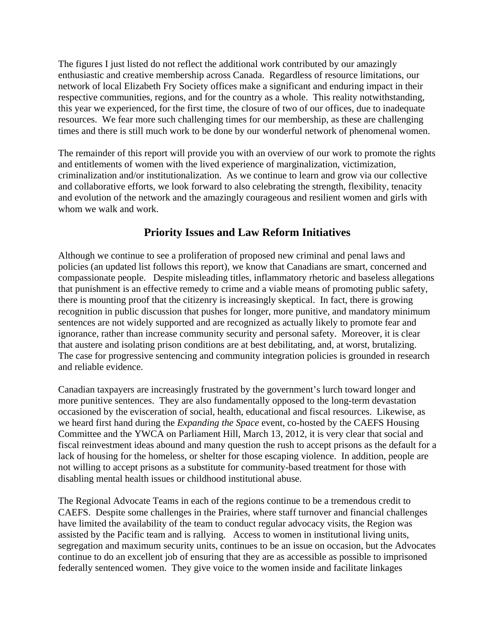The figures I just listed do not reflect the additional work contributed by our amazingly enthusiastic and creative membership across Canada. Regardless of resource limitations, our network of local Elizabeth Fry Society offices make a significant and enduring impact in their respective communities, regions, and for the country as a whole. This reality notwithstanding, this year we experienced, for the first time, the closure of two of our offices, due to inadequate resources. We fear more such challenging times for our membership, as these are challenging times and there is still much work to be done by our wonderful network of phenomenal women.

The remainder of this report will provide you with an overview of our work to promote the rights and entitlements of women with the lived experience of marginalization, victimization, criminalization and/or institutionalization. As we continue to learn and grow via our collective and collaborative efforts, we look forward to also celebrating the strength, flexibility, tenacity and evolution of the network and the amazingly courageous and resilient women and girls with whom we walk and work.

### **Priority Issues and Law Reform Initiatives**

Although we continue to see a proliferation of proposed new criminal and penal laws and policies (an updated list follows this report), we know that Canadians are smart, concerned and compassionate people. Despite misleading titles, inflammatory rhetoric and baseless allegations that punishment is an effective remedy to crime and a viable means of promoting public safety, there is mounting proof that the citizenry is increasingly skeptical. In fact, there is growing recognition in public discussion that pushes for longer, more punitive, and mandatory minimum sentences are not widely supported and are recognized as actually likely to promote fear and ignorance, rather than increase community security and personal safety. Moreover, it is clear that austere and isolating prison conditions are at best debilitating, and, at worst, brutalizing. The case for progressive sentencing and community integration policies is grounded in research and reliable evidence.

Canadian taxpayers are increasingly frustrated by the government's lurch toward longer and more punitive sentences. They are also fundamentally opposed to the long-term devastation occasioned by the evisceration of social, health, educational and fiscal resources. Likewise, as we heard first hand during the *Expanding the Space* event, co-hosted by the CAEFS Housing Committee and the YWCA on Parliament Hill, March 13, 2012, it is very clear that social and fiscal reinvestment ideas abound and many question the rush to accept prisons as the default for a lack of housing for the homeless, or shelter for those escaping violence. In addition, people are not willing to accept prisons as a substitute for community-based treatment for those with disabling mental health issues or childhood institutional abuse.

The Regional Advocate Teams in each of the regions continue to be a tremendous credit to CAEFS. Despite some challenges in the Prairies, where staff turnover and financial challenges have limited the availability of the team to conduct regular advocacy visits, the Region was assisted by the Pacific team and is rallying. Access to women in institutional living units, segregation and maximum security units, continues to be an issue on occasion, but the Advocates continue to do an excellent job of ensuring that they are as accessible as possible to imprisoned federally sentenced women. They give voice to the women inside and facilitate linkages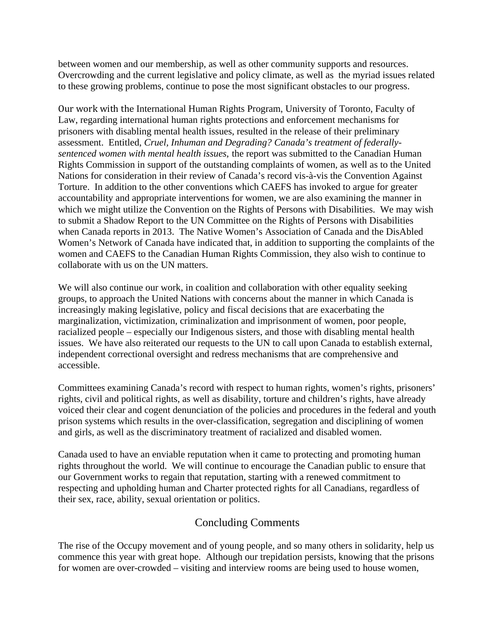between women and our membership, as well as other community supports and resources. Overcrowding and the current legislative and policy climate, as well as the myriad issues related to these growing problems, continue to pose the most significant obstacles to our progress.

Our work with the International Human Rights Program, University of Toronto, Faculty of Law, regarding international human rights protections and enforcement mechanisms for prisoners with disabling mental health issues, resulted in the release of their preliminary assessment. Entitled, *Cruel, Inhuman and Degrading? Canada's treatment of federallysentenced women with mental health issues,* the report was submitted to the Canadian Human Rights Commission in support of the outstanding complaints of women, as well as to the United Nations for consideration in their review of Canada's record vis-à-vis the Convention Against Torture. In addition to the other conventions which CAEFS has invoked to argue for greater accountability and appropriate interventions for women, we are also examining the manner in which we might utilize the Convention on the Rights of Persons with Disabilities. We may wish to submit a Shadow Report to the UN Committee on the Rights of Persons with Disabilities when Canada reports in 2013. The Native Women's Association of Canada and the DisAbled Women's Network of Canada have indicated that, in addition to supporting the complaints of the women and CAEFS to the Canadian Human Rights Commission, they also wish to continue to collaborate with us on the UN matters.

We will also continue our work, in coalition and collaboration with other equality seeking groups, to approach the United Nations with concerns about the manner in which Canada is increasingly making legislative, policy and fiscal decisions that are exacerbating the marginalization, victimization, criminalization and imprisonment of women, poor people, racialized people – especially our Indigenous sisters, and those with disabling mental health issues. We have also reiterated our requests to the UN to call upon Canada to establish external, independent correctional oversight and redress mechanisms that are comprehensive and accessible.

Committees examining Canada's record with respect to human rights, women's rights, prisoners' rights, civil and political rights, as well as disability, torture and children's rights, have already voiced their clear and cogent denunciation of the policies and procedures in the federal and youth prison systems which results in the over-classification, segregation and disciplining of women and girls, as well as the discriminatory treatment of racialized and disabled women.

Canada used to have an enviable reputation when it came to protecting and promoting human rights throughout the world. We will continue to encourage the Canadian public to ensure that our Government works to regain that reputation, starting with a renewed commitment to respecting and upholding human and Charter protected rights for all Canadians, regardless of their sex, race, ability, sexual orientation or politics.

#### Concluding Comments

The rise of the Occupy movement and of young people, and so many others in solidarity, help us commence this year with great hope. Although our trepidation persists, knowing that the prisons for women are over-crowded – visiting and interview rooms are being used to house women,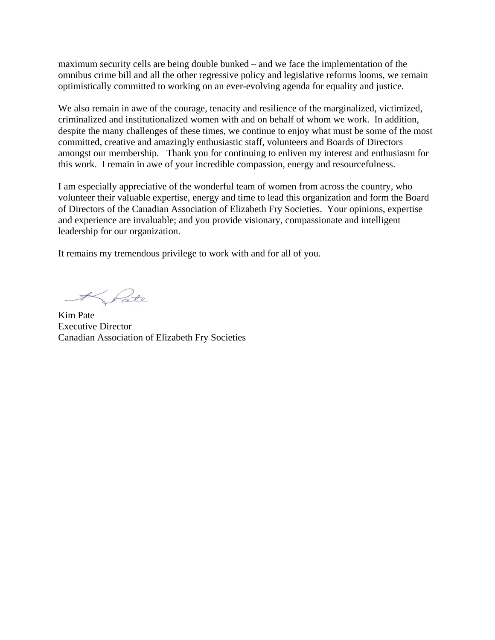maximum security cells are being double bunked – and we face the implementation of the omnibus crime bill and all the other regressive policy and legislative reforms looms, we remain optimistically committed to working on an ever-evolving agenda for equality and justice.

We also remain in awe of the courage, tenacity and resilience of the marginalized, victimized, criminalized and institutionalized women with and on behalf of whom we work. In addition, despite the many challenges of these times, we continue to enjoy what must be some of the most committed, creative and amazingly enthusiastic staff, volunteers and Boards of Directors amongst our membership. Thank you for continuing to enliven my interest and enthusiasm for this work. I remain in awe of your incredible compassion, energy and resourcefulness.

I am especially appreciative of the wonderful team of women from across the country, who volunteer their valuable expertise, energy and time to lead this organization and form the Board of Directors of the Canadian Association of Elizabeth Fry Societies. Your opinions, expertise and experience are invaluable; and you provide visionary, compassionate and intelligent leadership for our organization.

It remains my tremendous privilege to work with and for all of you.

Krate

Kim Pate Executive Director Canadian Association of Elizabeth Fry Societies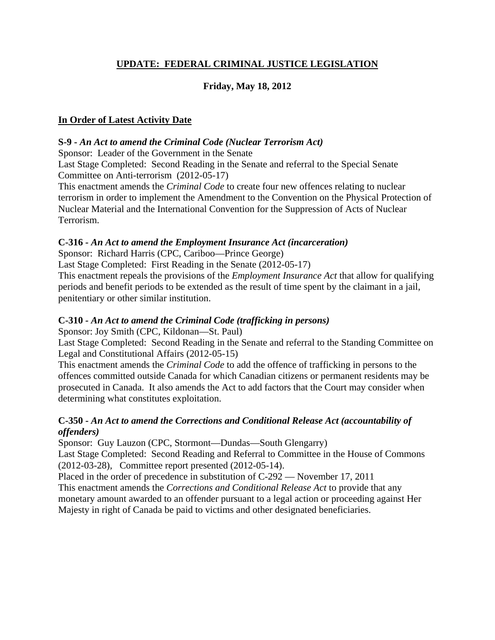#### **UPDATE: FEDERAL CRIMINAL JUSTICE LEGISLATION**

### **Friday, May 18, 2012**

#### **In Order of Latest Activity Date**

#### **S-9 -** *An Act to amend the Criminal Code (Nuclear Terrorism Act)*

Sponsor: [Leader of the Government in the Senate](http://www.parl.gc.ca/Parlinfo/Files/Parliamentarian.aspx?Item=d21687fd-9452-4d14-99c8-5f15ef816e76&Language=E&Section=FederalExperience) 

Last Stage Completed: Second Reading in the Senate and referral to the [Special Senate](http://www.parl.gc.ca/sencommitteebusiness/CommitteeHome.aspx?comm_id=612&Parl=41&Ses=1&Language=E)  [Committee on Anti-terrorism](http://www.parl.gc.ca/sencommitteebusiness/CommitteeHome.aspx?comm_id=612&Parl=41&Ses=1&Language=E) (2012-05-17)

This enactment amends the *Criminal Code* to create four new offences relating to nuclear terrorism in order to implement the Amendment to the Convention on the Physical Protection of Nuclear Material and the International Convention for the Suppression of Acts of Nuclear Terrorism.

#### **C-316** *- An Act to amend the Employment Insurance Act (incarceration)*

Sponsor: [Richard Harris \(CPC, Cariboo—Prince George\)](http://www.parl.gc.ca/Parlinfo/Files/Parliamentarian.aspx?Item=63427584-4218-4484-ad50-0c202daf6ac6&Language=E&Section=FederalExperience)

Last Stage Completed: First Reading in the Senate (2012-05-17)

This enactment repeals the provisions of the *Employment Insurance Act* that allow for qualifying periods and benefit periods to be extended as the result of time spent by the claimant in a jail, penitentiary or other similar institution.

#### **C-310** *- An Act to amend the Criminal Code (trafficking in persons)*

Sponsor: [Joy Smith \(CPC, Kildonan—St. Paul\)](http://www.parl.gc.ca/Parlinfo/Files/Parliamentarian.aspx?Item=9afd15e3-d6df-4779-ba0f-5a305ebb77b5&Language=E&Section=FederalExperience) 

Last Stage Completed: Second Reading in the Senate and referral to the Standing Committee on Legal and Constitutional Affairs (2012-05-15)

This enactment amends the *Criminal Code* to add the offence of trafficking in persons to the offences committed outside Canada for which Canadian citizens or permanent residents may be prosecuted in Canada. It also amends the Act to add factors that the Court may consider when determining what constitutes exploitation.

#### **C-350 -** *An Act to amend the Corrections and Conditional Release Act (accountability of offenders)*

Sponsor: [Guy Lauzon \(CPC, Stormont—Dundas—South Glengarry\)](http://www.parl.gc.ca/Parlinfo/Files/Parliamentarian.aspx?Item=07efb925-e6f4-4f2a-bd9f-bd5b0a297a8d&Language=E&Section=FederalExperience)

Last Stage Completed: Second Reading and Referral to Committee in the House of Commons (2012-03-28), Committee report presented (2012-05-14).

Placed in the order of precedence in substitution of C-292 — November 17, 2011 This enactment amends the *Corrections and Conditional Release Act* to provide that any

monetary amount awarded to an offender pursuant to a legal action or proceeding against Her Majesty in right of Canada be paid to victims and other designated beneficiaries.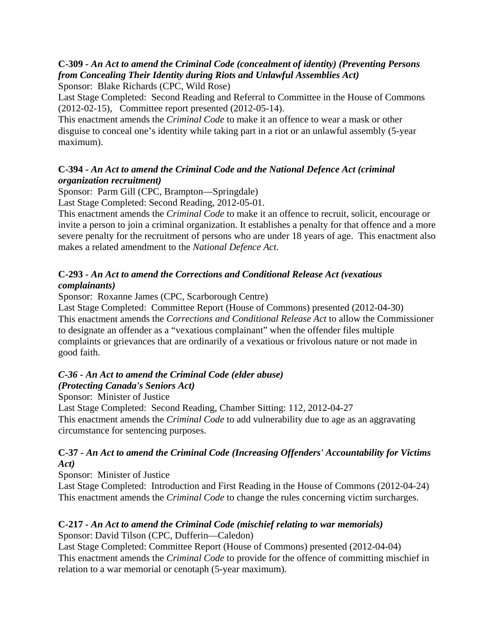#### **C-309** *- An Act to amend the Criminal Code (concealment of identity) (Preventing Persons from Concealing Their Identity during Riots and Unlawful Assemblies Act)*

Sponsor: [Blake Richards \(CPC, Wild Rose\)](http://www.parl.gc.ca/Parlinfo/Files/Parliamentarian.aspx?Item=62bfd797-8d32-425b-91b1-1422ca16694f&Language=E&Section=FederalExperience)

Last Stage Completed: Second Reading and Referral to Committee in the House of Commons (2012-02-15), Committee report presented (2012-05-14).

This enactment amends the *Criminal Code* to make it an offence to wear a mask or other disguise to conceal one's identity while taking part in a riot or an unlawful assembly (5-year maximum).

#### **C-394 -** *An Act to amend the Criminal Code and the National Defence Act (criminal organization recruitment)*

Sponsor: [Parm Gill \(CPC, Brampton—Springdale\)](http://www.parl.gc.ca/Parlinfo/Files/Parliamentarian.aspx?Item=3427307a-a672-4e3a-bd69-7698399cbc86&Language=E&Section=FederalExperience)

Last Stage Completed: Second Reading, [2012-05-01.](http://www.parl.gc.ca/HousePublications/Publication.aspx?Pub=Hansard&Doc=114&Parl=41&Ses=1&Language=E&Mode=1) 

This enactment amends the *Criminal Code* to make it an offence to recruit, solicit, encourage or invite a person to join a criminal organization. It establishes a penalty for that offence and a more severe penalty for the recruitment of persons who are under 18 years of age. This enactment also makes a related amendment to the *National Defence Act*.

#### **C-293** *- An Act to amend the Corrections and Conditional Release Act (vexatious complainants)*

Sponsor: [Roxanne James \(CPC, Scarborough Centre\)](http://www.parl.gc.ca/Parlinfo/Files/Parliamentarian.aspx?Item=7e517cde-1b3a-46c1-afdb-4ddddeec7b81&Language=E&Section=FederalExperience) 

Last Stage Completed: Committee Report (House of Commons) presented [\(2012-04-30\)](http://www.parl.gc.ca/CommitteeBusiness/ReportsResponses.aspx?Cmte=SECU&Mode=1&Parl=41&Ses=1&Stac=6866593&Language=E)  This enactment amends the *Corrections and Conditional Release Act* to allow the Commissioner to designate an offender as a "vexatious complainant" when the offender files multiple complaints or grievances that are ordinarily of a vexatious or frivolous nature or not made in good faith.

## *C-36 - An Act to amend the Criminal Code (elder abuse)*

### *(Protecting Canada's Seniors Act)*

Sponsor: [Minister of Justice](http://www.parl.gc.ca/Parlinfo/Files/Parliamentarian.aspx?Item=b42374fa-e181-4337-93e9-2a5c41eb5d1e&Language=E&Section=FederalExperience)

Last Stage Completed: Second Reading, Chamber Sitting: 112, [2012-04-27](http://www.parl.gc.ca/HousePublications/Publication.aspx?Pub=Hansard&Doc=112&Parl=41&Ses=1&Language=E&Mode=1)  This enactment amends the *Criminal Code* to add vulnerability due to age as an aggravating circumstance for sentencing purposes.

#### **C-37 -** *An Act to amend the Criminal Code (Increasing Offenders' Accountability for Victims Act)*

Sponsor: [Minister of Justice](http://www.parl.gc.ca/Parlinfo/Files/Parliamentarian.aspx?Item=b42374fa-e181-4337-93e9-2a5c41eb5d1e&Language=E&Section=FederalExperience) 

Last Stage Completed: Introduction and First Reading in the House of Commons (2012-04-24) This enactment amends the *Criminal Code* to change the rules concerning victim surcharges.

## **C-217** *- An Act to amend the Criminal Code (mischief relating to war memorials)*

Sponsor: [David Tilson \(CPC, Dufferin—Caledon\)](http://www.parl.gc.ca/Parlinfo/Files/Parliamentarian.aspx?Item=ed1028ae-42dc-4294-9b39-4c5daff5fc74&Language=E&Section=FederalExperience) 

Last Stage Completed: Committee Report (House of Commons) presented [\(2012-04-04\)](http://www.parl.gc.ca/CommitteeBusiness/ReportsResponses.aspx?Cmte=SECU&Mode=1&Parl=41&Ses=1&Stac=6866593&Language=E)  This enactment amends the *Criminal Code* to provide for the offence of committing mischief in relation to a war memorial or cenotaph (5-year maximum).